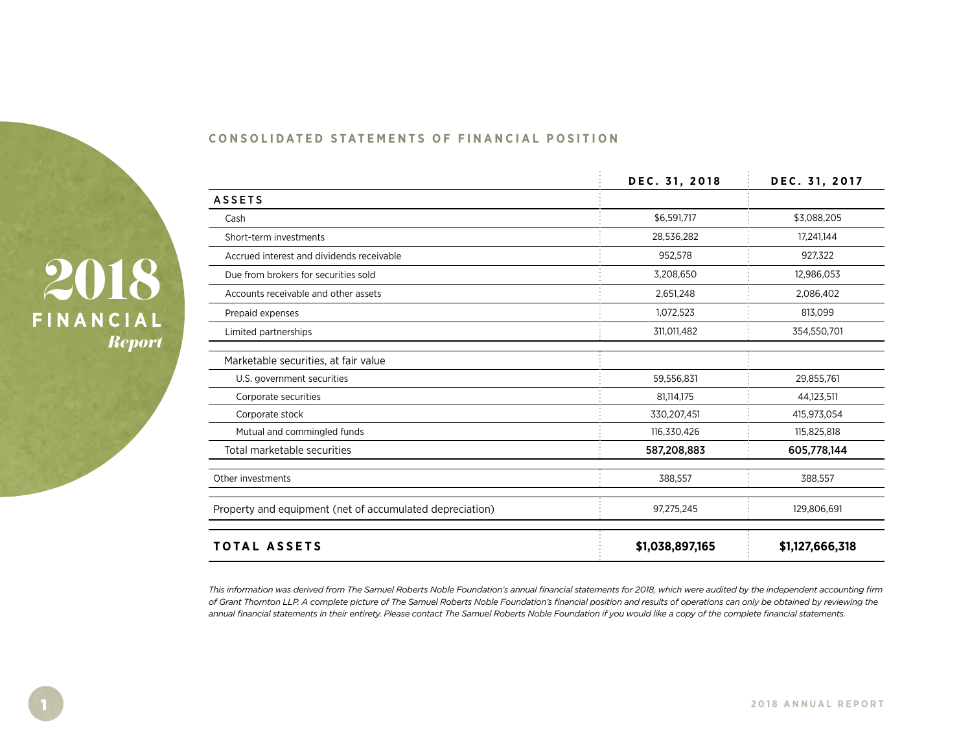

| <b>CONSOLIDATED STATEMENTS OF FINANCIAL POSITION</b> |  |  |  |
|------------------------------------------------------|--|--|--|
|------------------------------------------------------|--|--|--|

|                                                          | DEC. 31, 2018   | DEC. 31, 2017   |
|----------------------------------------------------------|-----------------|-----------------|
| <b>ASSETS</b>                                            |                 |                 |
| Cash                                                     | \$6,591,717     | \$3,088,205     |
| Short-term investments                                   | 28,536,282      | 17,241,144      |
| Accrued interest and dividends receivable                | 952,578         | 927,322         |
| Due from brokers for securities sold                     | 3,208,650       | 12,986,053      |
| Accounts receivable and other assets                     | 2,651,248       | 2,086,402       |
| Prepaid expenses                                         | 1,072,523       | 813,099         |
| Limited partnerships                                     | 311,011,482     | 354,550,701     |
| Marketable securities, at fair value                     |                 |                 |
| U.S. government securities                               | 59,556,831      | 29,855,761      |
| Corporate securities                                     | 81,114,175      | 44,123,511      |
| Corporate stock                                          | 330,207,451     | 415,973,054     |
| Mutual and commingled funds                              | 116,330,426     | 115,825,818     |
| Total marketable securities                              | 587,208,883     | 605,778,144     |
| Other investments                                        | 388,557         | 388,557         |
| Property and equipment (net of accumulated depreciation) | 97,275,245      | 129,806,691     |
| <b>TOTAL ASSETS</b>                                      | \$1,038,897,165 | \$1,127,666,318 |

*This information was derived from The Samuel Roberts Noble Foundation's annual financial statements for 2018, which were audited by the independent accounting firm of Grant Thornton LLP. A complete picture of The Samuel Roberts Noble Foundation's financial position and results of operations can only be obtained by reviewing the annual financial statements in their entirety. Please contact The Samuel Roberts Noble Foundation if you would like a copy of the complete financial statements.*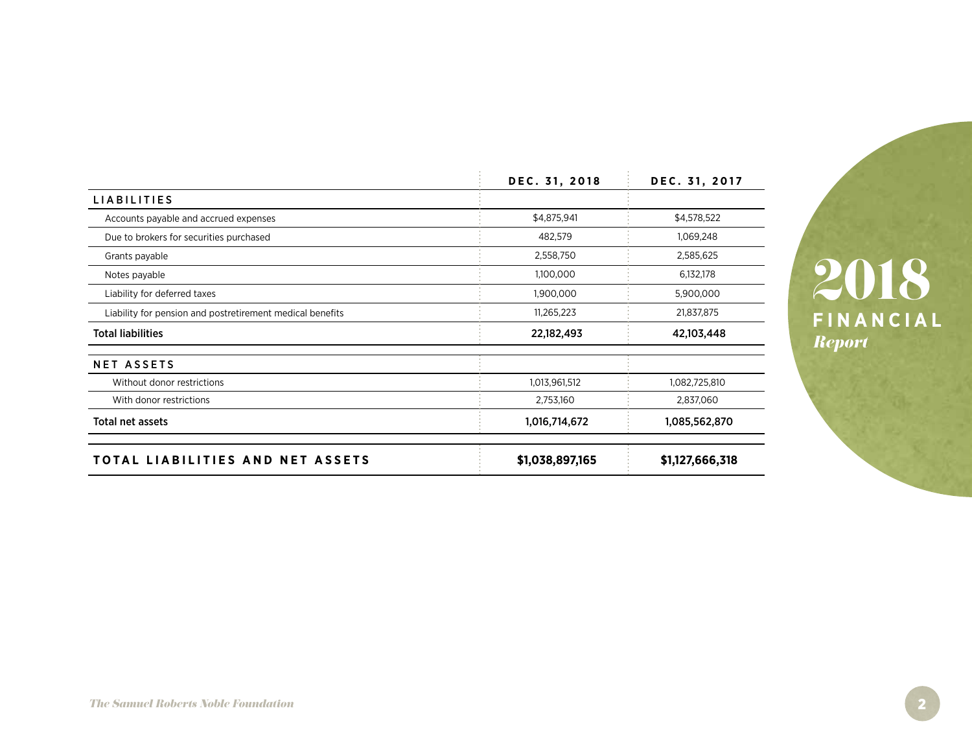|                                                           | DEC. 31, 2018          | DEC. 31, 2017            |
|-----------------------------------------------------------|------------------------|--------------------------|
| <b>LIABILITIES</b>                                        |                        |                          |
| Accounts payable and accrued expenses                     | \$4,875,941<br>482,579 | \$4,578,522<br>1,069,248 |
| Due to brokers for securities purchased                   |                        |                          |
| Grants payable                                            | 2,558,750              | 2,585,625                |
| Notes payable                                             | 1,100,000              | 6,132,178                |
| Liability for deferred taxes                              | 1,900,000              | 5,900,000                |
| Liability for pension and postretirement medical benefits | 11,265,223             | 21,837,875               |
| <b>Total liabilities</b>                                  | 22,182,493             | 42,103,448               |
| <b>NET ASSETS</b>                                         |                        |                          |
| Without donor restrictions                                | 1,013,961,512          | 1,082,725,810            |
| With donor restrictions                                   | 2,753,160              | 2,837,060                |
| Total net assets                                          | 1,016,714,672          | 1,085,562,870            |
| TOTAL LIABILITIES AND NET ASSETS                          | \$1,038,897,165        | \$1,127,666,318          |

**FINANCIAL** *Report* 2018